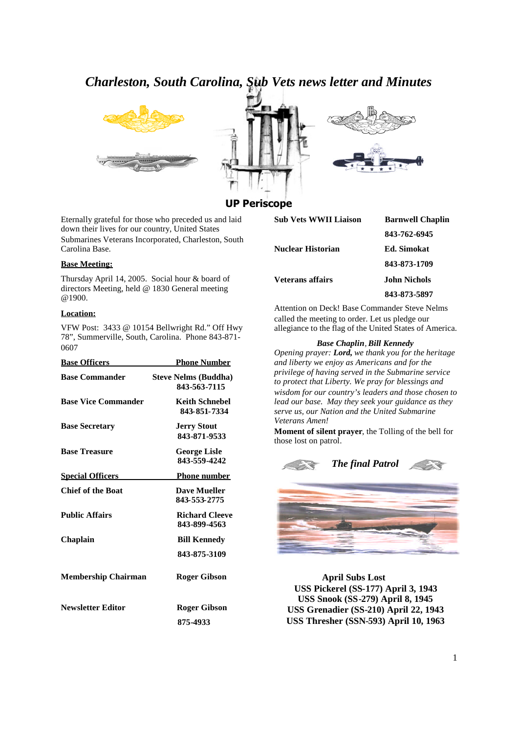# *Charleston, South Carolina, Sub Vets news letter and Minutes*







# **UP Periscope**

Eternally grateful for those who preceded us and laid down their lives for our country, United States Submarines Veterans Incorporated, Charleston, South Carolina Base.

### **Base Meeting:**

Thursday April 14, 2005. Social hour & board of directors Meeting, held @ 1830 General meeting @1900.

#### **Location:**

VFW Post: 3433 @ 10154 Bellwright Rd." Off Hwy 78", Summerville, South, Carolina. Phone 843-871- 0607

| <b>Base Officers</b>       | <b>Phone Number</b>                         |
|----------------------------|---------------------------------------------|
| <b>Base Commander</b>      | <b>Steve Nelms (Buddha)</b><br>843-563-7115 |
| <b>Base Vice Commander</b> | <b>Keith Schnebel</b><br>843-851-7334       |
| <b>Base Secretary</b>      | <b>Jerry Stout</b><br>843-871-9533          |
| <b>Base Treasure</b>       | <b>George Lisle</b><br>843-559-4242         |
| <b>Special Officers</b>    | <b>Phone number</b>                         |
| <b>Chief of the Boat</b>   | <b>Dave Mueller</b><br>843-553-2775         |
| <b>Public Affairs</b>      | <b>Richard Cleeve</b><br>843-899-4563       |
| Chaplain                   | <b>Bill Kennedy</b>                         |
|                            | 843-875-3109                                |
| <b>Membership Chairman</b> | <b>Roger Gibson</b>                         |
| <b>Newsletter Editor</b>   | <b>Roger Gibson</b>                         |
|                            | 875-4933                                    |

| <b>Sub Vets WWII Liaison</b> | <b>Barnwell Chaplin</b> |
|------------------------------|-------------------------|
|                              | 843-762-6945            |
| <b>Nuclear Historian</b>     | <b>Ed.</b> Simokat      |
|                              | 843-873-1709            |
| <b>Veterans affairs</b>      | <b>John Nichols</b>     |
|                              | 843-873-5897            |

Attention on Deck! Base Commander Steve Nelms called the meeting to order. Let us pledge our allegiance to the flag of the United States of America.

### *Base Chaplin,Bill Kennedy*

*Opening prayer: Lord, we thank you for the heritage and liberty we enjoy as Americans and for the privilege of having served in the Submarine service to protect that Liberty. We pray for blessings and wisdom for our country's leaders and those chosen to lead our base. May they seek your guidance as they serve us, our Nation and the United Submarine Veterans Amen!*

**Moment of silent prayer**, the Tolling of the bell for those lost on patrol.





**April Subs Lost USS Pickerel (SS-177) April 3, 1943 USS Snook (SS-279) April 8, 1945 USS Grenadier (SS-210) April 22, 1943 USS Thresher (SSN-593) April 10, 1963**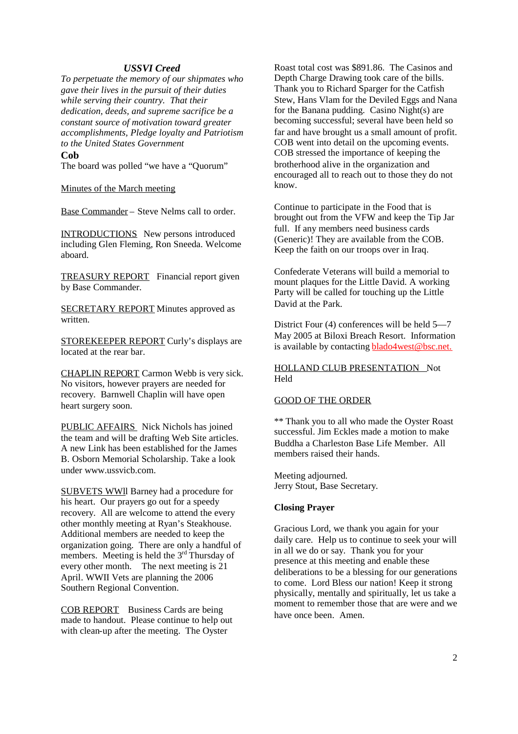# *USSVI Creed*

*To perpetuate the memory of our shipmates who gave their lives in the pursuit of their duties while serving their country. That their dedication, deeds, and supreme sacrifice be a constant source of motivation toward greater accomplishments, Pledge loyalty and Patriotism to the United States Government*

### **Cob**

The board was polled "we have a "Quorum"

Minutes of the March meeting

Base Commander – Steve Nelms call to order.

INTRODUCTIONS New persons introduced including Glen Fleming, Ron Sneeda. Welcome aboard.

TREASURY REPORT Financial report given by Base Commander.

SECRETARY REPORT Minutes approved as written.

STOREKEEPER REPORT Curly's displays are located at the rear bar.

CHAPLIN REPORT Carmon Webb is very sick. No visitors, however prayers are needed for recovery. Barnwell Chaplin will have open heart surgery soon.

PUBLIC AFFAIRS Nick Nichols has joined the team and will be drafting Web Site articles. A new Link has been established for the James B. Osborn Memorial Scholarship. Take a look under www.ussvicb.com.

SUBVETS WWll Barney had a procedure for his heart. Our prayers go out for a speedy recovery. All are welcome to attend the every other monthly meeting at Ryan's Steakhouse. Additional members are needed to keep the organization going. There are only a handful of members. Meeting is held the  $3<sup>rd</sup>$  Thursday of every other month. The next meeting is 21 April. WWII Vets are planning the 2006 Southern Regional Convention.

COB REPORT Business Cards are being made to handout. Please continue to help out with clean-up after the meeting. The Oyster

Roast total cost was \$891.86. The Casinos and Depth Charge Drawing took care of the bills. Thank you to Richard Sparger for the Catfish Stew, Hans Vlam for the Deviled Eggs and Nana for the Banana pudding. Casino Night(s) are becoming successful; several have been held so far and have brought us a small amount of profit. COB went into detail on the upcoming events. COB stressed the importance of keeping the brotherhood alive in the organization and encouraged all to reach out to those they do not know.

Continue to participate in the Food that is brought out from the VFW and keep the Tip Jar full. If any members need business cards (Generic)! They are available from the COB. Keep the faith on our troops over in Iraq.

Confederate Veterans will build a memorial to mount plaques for the Little David. A working Party will be called for touching up the Little David at the Park.

District Four (4) conferences will be held 5—7 May 2005 at Biloxi Breach Resort. Information is available by contacting **blado4west@bsc.net.** 

HOLLAND CLUB PRESENTATION Not Held

### GOOD OF THE ORDER

\*\* Thank you to all who made the Oyster Roast successful. Jim Eckles made a motion to make Buddha a Charleston Base Life Member. All members raised their hands.

Meeting adjourned. Jerry Stout, Base Secretary.

### **Closing Prayer**

Gracious Lord, we thank you again for your daily care. Help us to continue to seek your will in all we do or say. Thank you for your presence at this meeting and enable these deliberations to be a blessing for our generations to come. Lord Bless our nation! Keep it strong physically, mentally and spiritually, let us take a moment to remember those that are were and we have once been. Amen.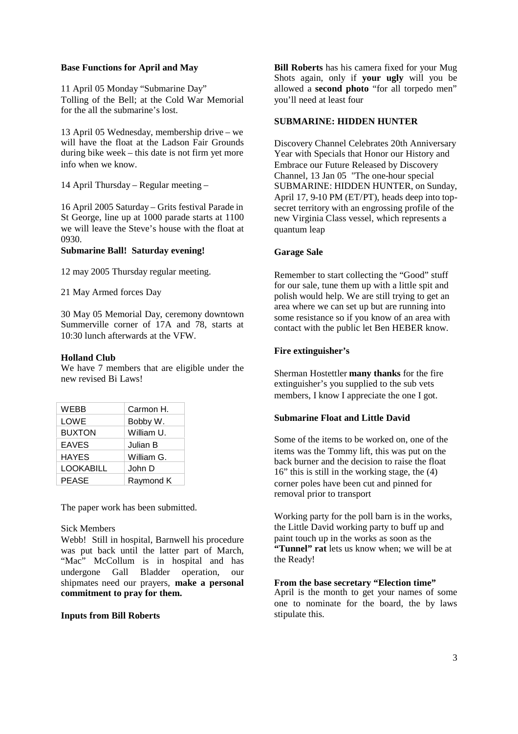## **Base Functions for April and May**

11 April 05 Monday "Submarine Day" Tolling of the Bell; at the Cold War Memorial for the all the submarine's lost.

13 April 05 Wednesday, membership drive – we will have the float at the Ladson Fair Grounds during bike week – this date is not firm yet more info when we know.

14 April Thursday – Regular meeting –

16 April 2005 Saturday – Grits festival Parade in St George, line up at 1000 parade starts at 1100 we will leave the Steve's house with the float at 0930.

## **Submarine Ball! Saturday evening!**

12 may 2005 Thursday regular meeting.

21 May Armed forces Day

30 May 05 Memorial Day, ceremony downtown Summerville corner of 17A and 78, starts at 10:30 lunch afterwards at the VFW.

## **Holland Club**

We have 7 members that are eligible under the new revised Bi Laws!

| WEBB          | Carmon H.  |
|---------------|------------|
| LOWE          | Bobby W.   |
| <b>BUXTON</b> | William U. |
| <b>EAVES</b>  | Julian B   |
| <b>HAYES</b>  | William G. |
| LOOKABILL     | John D     |
| <b>PEASE</b>  | Raymond K  |

The paper work has been submitted.

### Sick Members

Webb! Still in hospital, Barnwell his procedure was put back until the latter part of March, "Mac" McCollum is in hospital and has undergone Gall Bladder operation, our shipmates need our prayers, **make a personal commitment to pray for them.**

# **Inputs from Bill Roberts**

**Bill Roberts** has his camera fixed for your Mug Shots again, only if **your ugly** will you be allowed a **second photo** "for all torpedo men" you'll need at least four

# **SUBMARINE: HIDDEN HUNTER**

Discovery Channel Celebrates 20th Anniversary Year with Specials that Honor our History and Embrace our Future Released by Discovery Channel, 13 Jan 05 "The one-hour special SUBMARINE: HIDDEN HUNTER, on Sunday, April 17, 9-10 PM (ET/PT), heads deep into topsecret territory with an engrossing profile of the new Virginia Class vessel, which represents a quantum leap

### **Garage Sale**

Remember to start collecting the "Good" stuff for our sale, tune them up with a little spit and polish would help. We are still trying to get an area where we can set up but are running into some resistance so if you know of an area with contact with the public let Ben HEBER know.

# **Fire extinguisher's**

Sherman Hostettler **many thanks** for the fire extinguisher's you supplied to the sub vets members, I know I appreciate the one I got.

# **Submarine Float and Little David**

Some of the items to be worked on, one of the items was the Tommy lift, this was put on the back burner and the decision to raise the float 16" this is still in the working stage, the (4) corner poles have been cut and pinned for removal prior to transport

Working party for the poll barn is in the works, the Little David working party to buff up and paint touch up in the works as soon as the **"Tunnel" rat** lets us know when; we will be at the Ready!

### **From the base secretary "Election time"**

April is the month to get your names of some one to nominate for the board, the by laws stipulate this.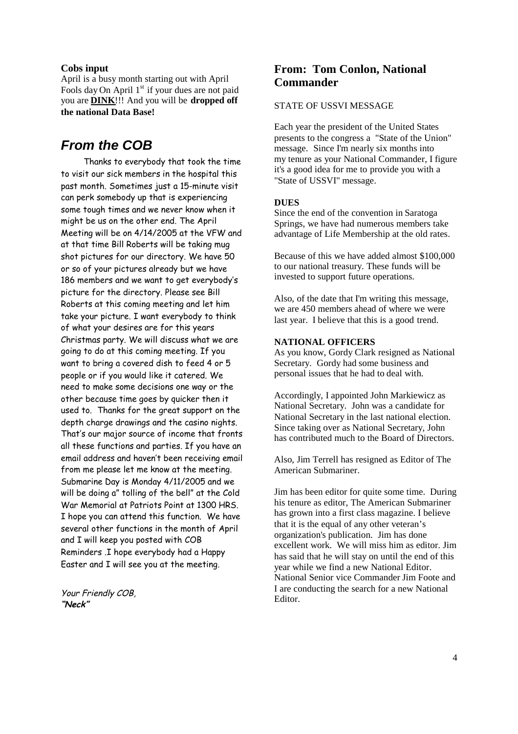### **Cobs input**

April is a busy month starting out with April Fools day On April  $1<sup>st</sup>$  if your dues are not paid you are **DINK**!!! And you will be **dropped off the national Data Base!**

# *From the COB*

Thanks to everybody that took the time to visit our sick members in the hospital this past month. Sometimes just a 15-minute visit can perk somebody up that is experiencing some tough times and we never know when it might be us on the other end. The April Meeting will be on 4/14/2005 at the VFW and at that time Bill Roberts will be taking mug shot pictures for our directory. We have 50 or so of your pictures already but we have 186 members and we want to get everybody's picture for the directory. Please see Bill Roberts at this coming meeting and let him take your picture. I want everybody to think of what your desires are for this years Christmas party. We will discuss what we are going to do at this coming meeting. If you want to bring a covered dish to feed 4 or 5 people or if you would like it catered. We need to make some decisions one way or the other because time goes by quicker then it used to. Thanks for the great support on the depth charge drawings and the casino nights. That's our major source of income that fronts all these functions and parties. If you have an email address and haven't been receiving email from me please let me know at the meeting. Submarine Day is Monday 4/11/2005 and we will be doing a" tolling of the bell" at the Cold War Memorial at Patriots Point at 1300 HRS. I hope you can attend this function. We have several other functions in the month of April and I will keep you posted with COB Reminders .I hope everybody had a Happy Easter and I will see you at the meeting.

Your Friendly COB, **"Neck"**

# **From: Tom Conlon, National Commander**

### STATE OF USSVI MESSAGE

Each year the president of the United States presents to the congress a "State of the Union" message. Since I'm nearly six months into my tenure as your National Commander, I figure it's a good idea for me to provide you with a "State of USSVI" message.

### **DUES**

Since the end of the convention in Saratoga Springs, we have had numerous members take advantage of Life Membership at the old rates.

Because of this we have added almost \$100,000 to our national treasury. These funds will be invested to support future operations.

Also, of the date that I'm writing this message, we are 450 members ahead of where we were last year. I believe that this is a good trend.

## **NATIONAL OFFICERS**

As you know, Gordy Clark resigned as National Secretary. Gordy had some business and personal issues that he had to deal with.

Accordingly, I appointed John Markiewicz as National Secretary. John was a candidate for National Secretary in the last national election. Since taking over as National Secretary, John has contributed much to the Board of Directors.

Also, Jim Terrell has resigned as Editor of The American Submariner.

Jim has been editor for quite some time. During his tenure as editor, The American Submariner has grown into a first class magazine. I believe that it is the equal of any other veteran's organization's publication. Jim has done excellent work. We will miss him as editor. Jim has said that he will stay on until the end of this year while we find a new National Editor. National Senior vice Commander Jim Foote and I are conducting the search for a new National Editor.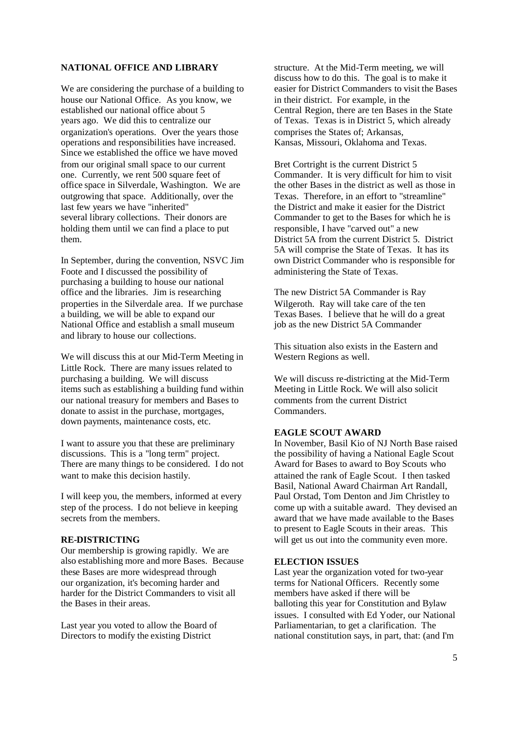# **NATIONAL OFFICE AND LIBRARY**

We are considering the purchase of a building to house our National Office. As you know, we established our national office about 5 years ago. We did this to centralize our organization's operations. Over the years those operations and responsibilities have increased. Since we established the office we have moved from our original small space to our current one. Currently, we rent 500 square feet of office space in Silverdale, Washington. We are outgrowing that space. Additionally, over the last few years we have "inherited" several library collections. Their donors are holding them until we can find a place to put them.

In September, during the convention, NSVC Jim Foote and I discussed the possibility of purchasing a building to house our national office and the libraries. Jim is researching properties in the Silverdale area. If we purchase a building, we will be able to expand our National Office and establish a small museum and library to house our collections.

We will discuss this at our Mid-Term Meeting in Little Rock. There are many issues related to purchasing a building. We will discuss items such as establishing a building fund within our national treasury for members and Bases to donate to assist in the purchase, mortgages, down payments, maintenance costs, etc.

I want to assure you that these are preliminary discussions. This is a "long term" project. There are many things to be considered. I do not want to make this decision hastily.

I will keep you, the members, informed at every step of the process. I do not believe in keeping secrets from the members.

### **RE-DISTRICTING**

Our membership is growing rapidly. We are also establishing more and more Bases. Because these Bases are more widespread through our organization, it's becoming harder and harder for the District Commanders to visit all the Bases in their areas.

Last year you voted to allow the Board of Directors to modify the existing District

structure. At the Mid-Term meeting, we will discuss how to do this. The goal is to make it easier for District Commanders to visit the Bases in their district. For example, in the Central Region, there are ten Bases in the State of Texas. Texas is in District 5, which already comprises the States of; Arkansas, Kansas, Missouri, Oklahoma and Texas.

Bret Cortright is the current District 5 Commander. It is very difficult for him to visit the other Bases in the district as well as those in Texas. Therefore, in an effort to "streamline" the District and make it easier for the District Commander to get to the Bases for which he is responsible, I have "carved out" a new District 5A from the current District 5. District 5A will comprise the State of Texas. It has its own District Commander who is responsible for administering the State of Texas.

The new District 5A Commander is Ray Wilgeroth. Ray will take care of the ten Texas Bases. I believe that he will do a great job as the new District 5A Commander

This situation also exists in the Eastern and Western Regions as well.

We will discuss re-districting at the Mid-Term Meeting in Little Rock. We will also solicit comments from the current District Commanders.

## **EAGLE SCOUT AWARD**

In November, Basil Kio of NJ North Base raised the possibility of having a National Eagle Scout Award for Bases to award to Boy Scouts who attained the rank of Eagle Scout. I then tasked Basil, National Award Chairman Art Randall, Paul Orstad, Tom Denton and Jim Christley to come up with a suitable award. They devised an award that we have made available to the Bases to present to Eagle Scouts in their areas. This will get us out into the community even more.

### **ELECTION ISSUES**

Last year the organization voted for two-year terms for National Officers. Recently some members have asked if there will be balloting this year for Constitution and Bylaw issues. I consulted with Ed Yoder, our National Parliamentarian, to get a clarification. The national constitution says, in part, that: (and I'm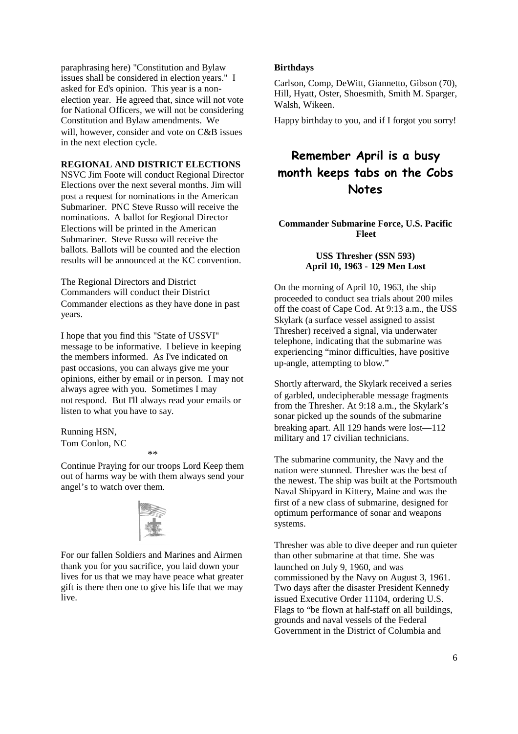paraphrasing here) "Constitution and Bylaw issues shall be considered in election years." I asked for Ed's opinion. This year is a nonelection year. He agreed that, since will not vote for National Officers, we will not be considering Constitution and Bylaw amendments. We will, however, consider and vote on C&B issues in the next election cycle.

### **REGIONAL AND DISTRICT ELECTIONS**

NSVC Jim Foote will conduct Regional Director Elections over the next several months. Jim will post a request for nominations in the American Submariner. PNC Steve Russo will receive the nominations. A ballot for Regional Director Elections will be printed in the American Submariner. Steve Russo will receive the ballots. Ballots will be counted and the election results will be announced at the KC convention.

The Regional Directors and District Commanders will conduct their District Commander elections as they have done in past years.

I hope that you find this "State of USSVI" message to be informative. I believe in keeping the members informed. As I've indicated on past occasions, you can always give me your opinions, either by email or in person. I may not always agree with you. Sometimes I may not respond. But I'll always read your emails or listen to what you have to say.

Running HSN, Tom Conlon, NC

#### *\*\**

Continue Praying for our troops Lord Keep them out of harms way be with them always send your angel's to watch over them.



For our fallen Soldiers and Marines and Airmen thank you for you sacrifice, you laid down your lives for us that we may have peace what greater gift is there then one to give his life that we may live.

### **Birthdays**

Carlson, Comp, DeWitt, Giannetto, Gibson (70), Hill, Hyatt, Oster, Shoesmith, Smith M. Sparger, Walsh, Wikeen.

Happy birthday to you, and if I forgot you sorry!

# **Remember April is a busy month keeps tabs on the Cobs Notes**

# **Commander Submarine Force, U.S. Pacific Fleet**

### **USS Thresher (SSN 593) April 10, 1963 - 129 Men Lost**

On the morning of April 10, 1963, the ship proceeded to conduct sea trials about 200 miles off the coast of Cape Cod. At 9:13 a.m., the USS Skylark (a surface vessel assigned to assist Thresher) received a signal, via underwater telephone, indicating that the submarine was experiencing "minor difficulties, have positive up-angle, attempting to blow."

Shortly afterward, the Skylark received a series of garbled, undecipherable message fragments from the Thresher. At 9:18 a.m., the Skylark's sonar picked up the sounds of the submarine breaking apart. All 129 hands were lost—112 military and 17 civilian technicians.

The submarine community, the Navy and the nation were stunned. Thresher was the best of the newest. The ship was built at the Portsmouth Naval Shipyard in Kittery, Maine and was the first of a new class of submarine, designed for optimum performance of sonar and weapons systems.

Thresher was able to dive deeper and run quieter than other submarine at that time. She was launched on July 9, 1960, and was commissioned by the Navy on August 3, 1961. Two days after the disaster President Kennedy issued Executive Order 11104, ordering U.S. Flags to "be flown at half-staff on all buildings, grounds and naval vessels of the Federal Government in the District of Columbia and